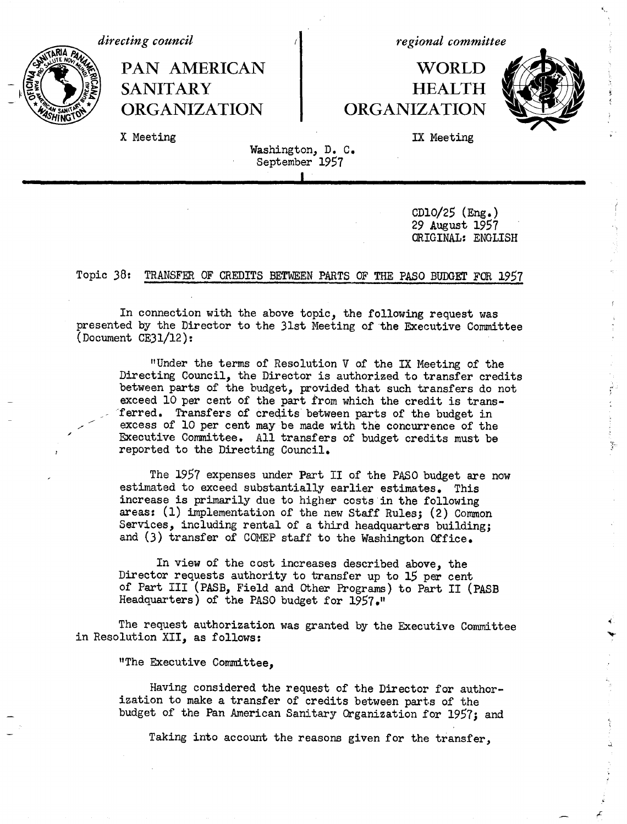*directing council* 

*regional committee*

# PAN AMERICAN | WORLD **. SANITARY HEALTH ORGANIZATION | ORGANIZATION**



~~~~~~~~~~~~~~~~~~I , -~~~~~~~~~~~~~~~~~~~~~~~~~~~~~~~~~~~~~~~~~~~~~~~~~~l

X Meeting **IX** Meeting

## Washington, D. C. September 1957

CD1O/25 (Eng.) 29 August 1957 ORIGINAL: ENGLISH

### Topic 38: TRANSFER OF CREDITS BETWEEN PARTS OF THE PASO BUDGET FOR 1957

In connection with the above topic, the following request was presented by the Director to the 31st Meeting of the Executive Committee (Document CE31/12):

"Under the terms of Resolution V of the IX Meeting of the Directing Council, the Director is authorized to transfer credits between parts of the budget, provided that such transfers do not exceed 10 per cent of the part from which the credit is trans ferred. Transfers of credits between parts of the budget in excess of 10 per cent may be made with the concurrence of the Executive Committee. All transfers of budget credits must be reported to the Directing Council.

The 1957 expenses under Part II of the PASO budget are now estimated to exceed substantially earlier estimates, This increase is primarily due to higher costs in the following areas: (1) implementation of the new Staff Rules; (2) Common Services, including rental of a third headquarters building; and (3) transfer of COMEP staff to the Washington Office.

In view of the cost increases described above, the Director requests authority to transfer up to 15 per cent of Part III (PASB, Field and Other Programs) to Part II (PASB Headquarters) of the PASO budget for 1957."

The request authorization was granted by the Executive Committee in Resolution XII, as follows:

"The Executive Committee,

Having considered the request of the Director for authorization to make a transfer of credits between parts of the budget of the Pan American Sanitary Qrganization for 1957; and

Taking into account the reasons given for the transfer,

 $\frac{3}{2}$ 

 $\Sigma$